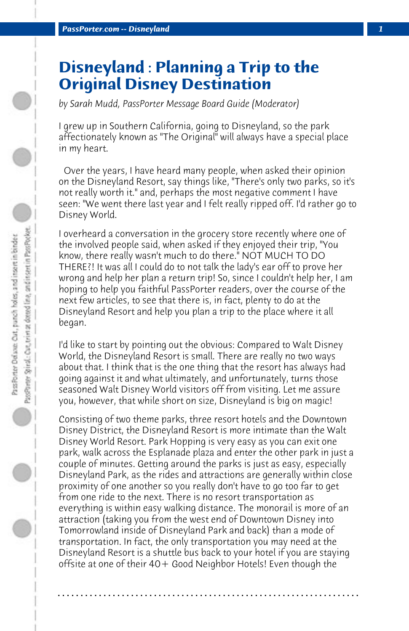## **Disneyland : Planning a Trip to the Original Disney Destination**

*by Sarah Mudd, PassPorter Message Board Guide (Moderator)*

I grew up in Southern California, going to Disneyland, so the park affectionately known as "The Original" will always have a special place in my heart.

 Over the years, I have heard many people, when asked their opinion on the Disneyland Resort, say things like, "There's only two parks, so it's not really worth it." and, perhaps the most negative comment I have seen: "We went there last year and I felt really ripped off. I'd rather go to Disney World.

I overheard a conversation in the grocery store recently where one of the involved people said, when asked if they enjoyed their trip, "You know, there really wasn't much to do there." NOT MUCH TO DO THERE?! It was all I could do to not talk the lady's ear off to prove her wrong and help her plan a return trip! So, since I couldn't help her, I am hoping to help you faithful PassPorter readers, over the course of the next few articles, to see that there is, in fact, plenty to do at the Disneyland Resort and help you plan a trip to the place where it all began.

I'd like to start by pointing out the obvious: Compared to Walt Disney World, the Disneyland Resort is small. There are really no two ways about that. I think that is the one thing that the resort has always had going against it and what ultimately, and unfortunately, turns those seasoned Walt Disney World visitors off from visiting. Let me assure you, however, that while short on size, Disneyland is big on magic!

Consisting of two theme parks, three resort hotels and the Downtown Disney District, the Disneyland Resort is more intimate than the Walt Disney World Resort. Park Hopping is very easy as you can exit one park, walk across the Esplanade plaza and enter the other park in just a couple of minutes. Getting around the parks is just as easy, especially Disneyland Park, as the rides and attractions are generally within close proximity of one another so you really don't have to go too far to get from one ride to the next. There is no resort transportation as everything is within easy walking distance. The monorail is more of an attraction (taking you from the west end of Downtown Disney into Tomorrowland inside of Disneyland Park and back) than a mode of transportation. In fact, the only transportation you may need at the Disneyland Resort is a shuttle bus back to your hotel if you are staying offsite at one of their 40+ Good Neighbor Hotels! Even though the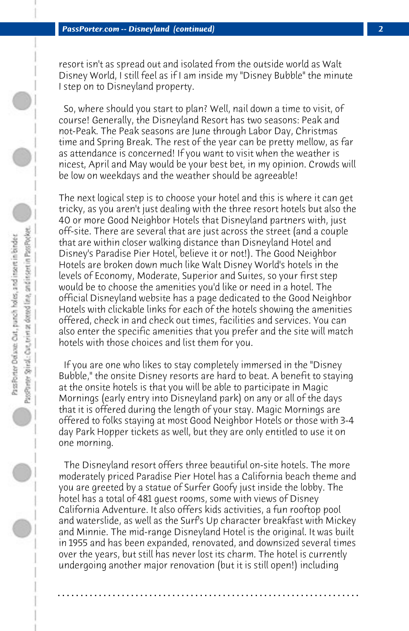resort isn't as spread out and isolated from the outside world as Walt Disney World, I still feel as if I am inside my "Disney Bubble" the minute I step on to Disneyland property.

 So, where should you start to plan? Well, nail down a time to visit, of course! Generally, the Disneyland Resort has two seasons: Peak and not-Peak. The Peak seasons are June through Labor Day, Christmas time and Spring Break. The rest of the year can be pretty mellow, as far as attendance is concerned! If you want to visit when the weather is nicest, April and May would be your best bet, in my opinion. Crowds will be low on weekdays and the weather should be agreeable!

The next logical step is to choose your hotel and this is where it can get tricky, as you aren't just dealing with the three resort hotels but also the 40 or more Good Neighbor Hotels that Disneyland partners with, just off-site. There are several that are just across the street (and a couple that are within closer walking distance than Disneyland Hotel and Disney's Paradise Pier Hotel, believe it or not!). The Good Neighbor Hotels are broken down much like Walt Disney World's hotels in the levels of Economy, Moderate, Superior and Suites, so your first step would be to choose the amenities you'd like or need in a hotel. The official Disneyland website has a page dedicated to the Good Neighbor Hotels with clickable links for each of the hotels showing the amenities offered, check in and check out times, facilities and services. You can also enter the specific amenities that you prefer and the site will match hotels with those choices and list them for you.

 If you are one who likes to stay completely immersed in the "Disney Bubble," the onsite Disney resorts are hard to beat. A benefit to staying at the onsite hotels is that you will be able to participate in Magic Mornings (early entry into Disneyland park) on any or all of the days that it is offered during the length of your stay. Magic Mornings are offered to folks staying at most Good Neighbor Hotels or those with 3-4 day Park Hopper tickets as well, but they are only entitled to use it on one morning.

 The Disneyland resort offers three beautiful on-site hotels. The more moderately priced Paradise Pier Hotel has a California beach theme and you are greeted by a statue of Surfer Goofy just inside the lobby. The hotel has a total of 481 guest rooms, some with views of Disney California Adventure. It also offers kids activities, a fun rooftop pool and waterslide, as well as the Surf's Up character breakfast with Mickey and Minnie. The mid-range Disneyland Hotel is the original. It was built in 1955 and has been expanded, renovated, and downsized several times over the years, but still has never lost its charm. The hotel is currently undergoing another major renovation (but it is still open!) including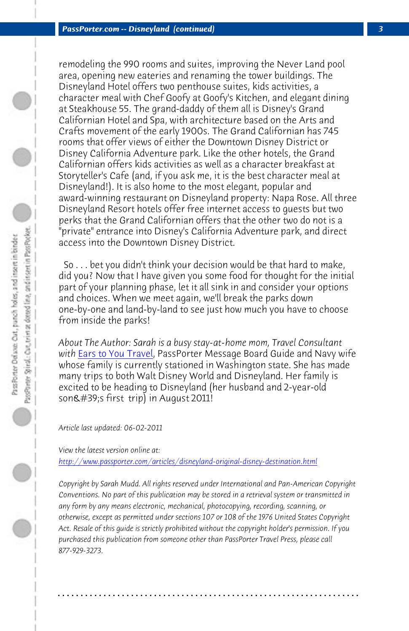*PassPorter.com -- Disneyland (continued) 3*

remodeling the 990 rooms and suites, improving the Never Land pool area, opening new eateries and renaming the tower buildings. The Disneyland Hotel offers two penthouse suites, kids activities, a character meal with Chef Goofy at Goofy's Kitchen, and elegant dining at Steakhouse 55. The grand-daddy of them all is Disney's Grand Californian Hotel and Spa, with architecture based on the Arts and Crafts movement of the early 1900s. The Grand Californian has 745 rooms that offer views of either the Downtown Disney District or Disney California Adventure park. Like the other hotels, the Grand Calif[ornian offers kids](http://www.EarsToYouTravel.com) activities as well as a character breakfast at Storyteller's Cafe (and, if you ask me, it is the best character meal at Disneyland!). It is also home to the most elegant, popular and award-winning restaurant on Disneyland property: Napa Rose. All three Disneyland Resort hotels offer free internet access to guests but two perks that the Grand Californian offers that the other two do not is a "private" entrance into Disney's California Adventure park, and direct access into the Downtown Disney District.

 So . . . bet you didn't think your decision would be that hard to make, [did you? Now that I have given you some food for thought for t](http://www.passporter.com/articles/disneyland-original-disney-destination.php)he initial part of your planning phase, let it all sink in and consider your options and choices. When we meet again, we'll break the parks down one-by-one and land-by-land to see just how much you have to choose from inside the parks!

*About The Author: Sarah is a busy stay-at-home mom, Travel Consultant with* Ears to You Travel, PassPorter Message Board Guide and Navy wife whose family is currently stationed in Washington state. She has made many trips to both Walt Disney World and Disneyland. Her family is excited to be heading to Disneyland (her husband and 2-year-old son's first trip) in August 2011!

*Article last updated: 06-02-2011*

*View the latest version online at: http://www.passporter.com/articles/disneyland-original-disney-destination.html*

*Copyright by Sarah Mudd. All rights reserved under International and Pan-American Copyright Conventions. No part of this publication may be stored in a retrieval system or transmitted in any form by any means electronic, mechanical, photocopying, recording, scanning, or otherwise, except as permitted under sections 107 or 108 of the 1976 United States Copyright Act. Resale of this guide is strictly prohibited without the copyright holder's permission. If you purchased this publication from someone other than PassPorter Travel Press, please call 877-929-3273.*